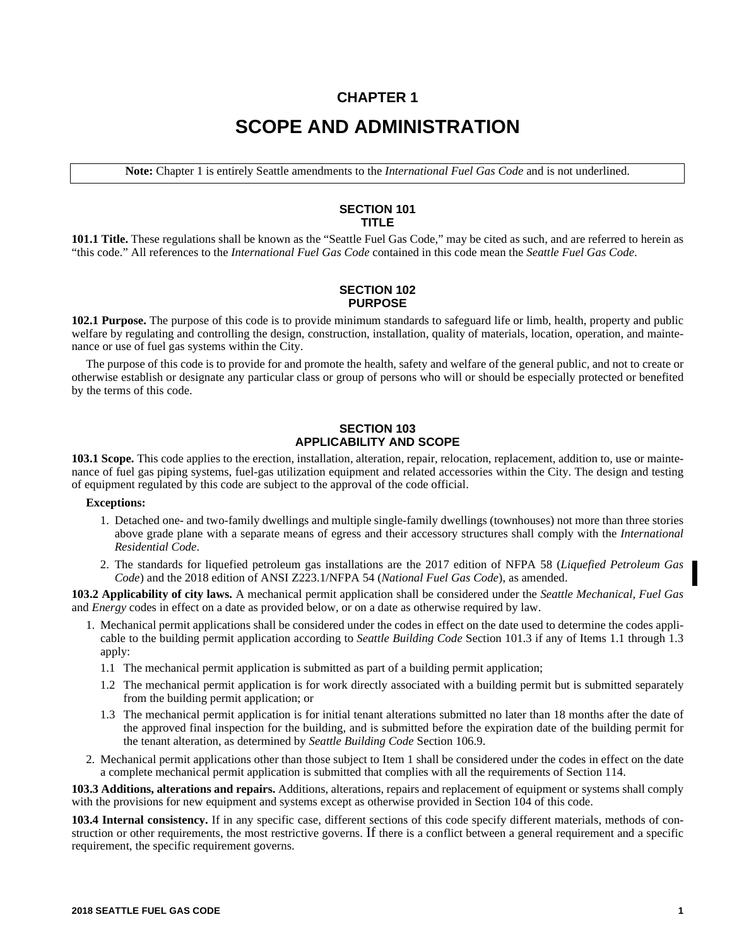# **CHAPTER 1 SCOPE AND ADMINISTRATION**

**Note:** Chapter 1 is entirely Seattle amendments to the *International Fuel Gas Code* and is not underlined.

# **SECTION 101 TITLE**

**101.1 Title.** These regulations shall be known as the "Seattle Fuel Gas Code," may be cited as such, and are referred to herein as "this code." All references to the *International Fuel Gas Code* contained in this code mean the *Seattle Fuel Gas Code*.

## **SECTION 102 PURPOSE**

**102.1 Purpose.** The purpose of this code is to provide minimum standards to safeguard life or limb, health, property and public welfare by regulating and controlling the design, construction, installation, quality of materials, location, operation, and maintenance or use of fuel gas systems within the City.

The purpose of this code is to provide for and promote the health, safety and welfare of the general public, and not to create or otherwise establish or designate any particular class or group of persons who will or should be especially protected or benefited by the terms of this code.

# **SECTION 103 APPLICABILITY AND SCOPE**

**103.1 Scope.** This code applies to the erection, installation, alteration, repair, relocation, replacement, addition to, use or maintenance of fuel gas piping systems, fuel-gas utilization equipment and related accessories within the City. The design and testing of equipment regulated by this code are subject to the approval of the code official.

## **Exceptions:**

- 1. Detached one- and two-family dwellings and multiple single-family dwellings (townhouses) not more than three stories above grade plane with a separate means of egress and their accessory structures shall comply with the *International Residential Code*.
- 2. The standards for liquefied petroleum gas installations are the 2017 edition of NFPA 58 (*Liquefied Petroleum Gas Code*) and the 2018 edition of ANSI Z223.1/NFPA 54 (*National Fuel Gas Code*), as amended.

**103.2 Applicability of city laws.** A mechanical permit application shall be considered under the *Seattle Mechanical, Fuel Gas* and *Energy* codes in effect on a date as provided below, or on a date as otherwise required by law.

- 1. Mechanical permit applications shall be considered under the codes in effect on the date used to determine the codes applicable to the building permit application according to *Seattle Building Code* Section 101.3 if any of Items 1.1 through 1.3 apply:
	- 1.1 The mechanical permit application is submitted as part of a building permit application;
	- 1.2 The mechanical permit application is for work directly associated with a building permit but is submitted separately from the building permit application; or
	- 1.3 The mechanical permit application is for initial tenant alterations submitted no later than 18 months after the date of the approved final inspection for the building, and is submitted before the expiration date of the building permit for the tenant alteration, as determined by *Seattle Building Code* Section 106.9.
- 2. Mechanical permit applications other than those subject to Item 1 shall be considered under the codes in effect on the date a complete mechanical permit application is submitted that complies with all the requirements of Section 114.

**103.3 Additions, alterations and repairs.** Additions, alterations, repairs and replacement of equipment or systems shall comply with the provisions for new equipment and systems except as otherwise provided in Section 104 of this code.

**103.4 Internal consistency.** If in any specific case, different sections of this code specify different materials, methods of construction or other requirements, the most restrictive governs. If there is a conflict between a general requirement and a specific requirement, the specific requirement governs.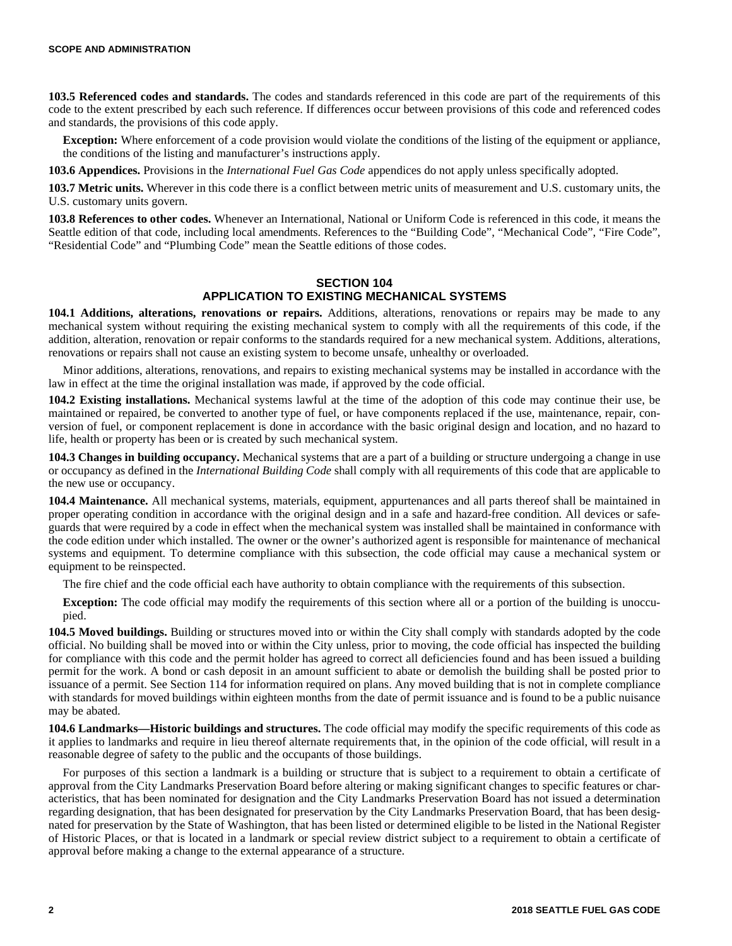**103.5 Referenced codes and standards.** The codes and standards referenced in this code are part of the requirements of this code to the extent prescribed by each such reference. If differences occur between provisions of this code and referenced codes and standards, the provisions of this code apply.

**Exception:** Where enforcement of a code provision would violate the conditions of the listing of the equipment or appliance, the conditions of the listing and manufacturer's instructions apply.

**103.6 Appendices.** Provisions in the *International Fuel Gas Code* appendices do not apply unless specifically adopted.

**103.7 Metric units.** Wherever in this code there is a conflict between metric units of measurement and U.S. customary units, the U.S. customary units govern.

**103.8 References to other codes.** Whenever an International, National or Uniform Code is referenced in this code, it means the Seattle edition of that code, including local amendments. References to the "Building Code", "Mechanical Code", "Fire Code", "Residential Code" and "Plumbing Code" mean the Seattle editions of those codes.

# **SECTION 104 APPLICATION TO EXISTING MECHANICAL SYSTEMS**

**104.1 Additions, alterations, renovations or repairs.** Additions, alterations, renovations or repairs may be made to any mechanical system without requiring the existing mechanical system to comply with all the requirements of this code, if the addition, alteration, renovation or repair conforms to the standards required for a new mechanical system. Additions, alterations, renovations or repairs shall not cause an existing system to become unsafe, unhealthy or overloaded.

Minor additions, alterations, renovations, and repairs to existing mechanical systems may be installed in accordance with the law in effect at the time the original installation was made, if approved by the code official.

**104.2 Existing installations.** Mechanical systems lawful at the time of the adoption of this code may continue their use, be maintained or repaired, be converted to another type of fuel, or have components replaced if the use, maintenance, repair, conversion of fuel, or component replacement is done in accordance with the basic original design and location, and no hazard to life, health or property has been or is created by such mechanical system.

**104.3 Changes in building occupancy.** Mechanical systems that are a part of a building or structure undergoing a change in use or occupancy as defined in the *International Building Code* shall comply with all requirements of this code that are applicable to the new use or occupancy.

**104.4 Maintenance.** All mechanical systems, materials, equipment, appurtenances and all parts thereof shall be maintained in proper operating condition in accordance with the original design and in a safe and hazard-free condition. All devices or safeguards that were required by a code in effect when the mechanical system was installed shall be maintained in conformance with the code edition under which installed. The owner or the owner's authorized agent is responsible for maintenance of mechanical systems and equipment. To determine compliance with this subsection, the code official may cause a mechanical system or equipment to be reinspected.

The fire chief and the code official each have authority to obtain compliance with the requirements of this subsection.

**Exception:** The code official may modify the requirements of this section where all or a portion of the building is unoccupied.

**104.5 Moved buildings.** Building or structures moved into or within the City shall comply with standards adopted by the code official. No building shall be moved into or within the City unless, prior to moving, the code official has inspected the building for compliance with this code and the permit holder has agreed to correct all deficiencies found and has been issued a building permit for the work. A bond or cash deposit in an amount sufficient to abate or demolish the building shall be posted prior to issuance of a permit. See Section 114 for information required on plans. Any moved building that is not in complete compliance with standards for moved buildings within eighteen months from the date of permit issuance and is found to be a public nuisance may be abated.

**104.6 Landmarks—Historic buildings and structures.** The code official may modify the specific requirements of this code as it applies to landmarks and require in lieu thereof alternate requirements that, in the opinion of the code official, will result in a reasonable degree of safety to the public and the occupants of those buildings.

For purposes of this section a landmark is a building or structure that is subject to a requirement to obtain a certificate of approval from the City Landmarks Preservation Board before altering or making significant changes to specific features or characteristics, that has been nominated for designation and the City Landmarks Preservation Board has not issued a determination regarding designation, that has been designated for preservation by the City Landmarks Preservation Board, that has been designated for preservation by the State of Washington, that has been listed or determined eligible to be listed in the National Register of Historic Places, or that is located in a landmark or special review district subject to a requirement to obtain a certificate of approval before making a change to the external appearance of a structure.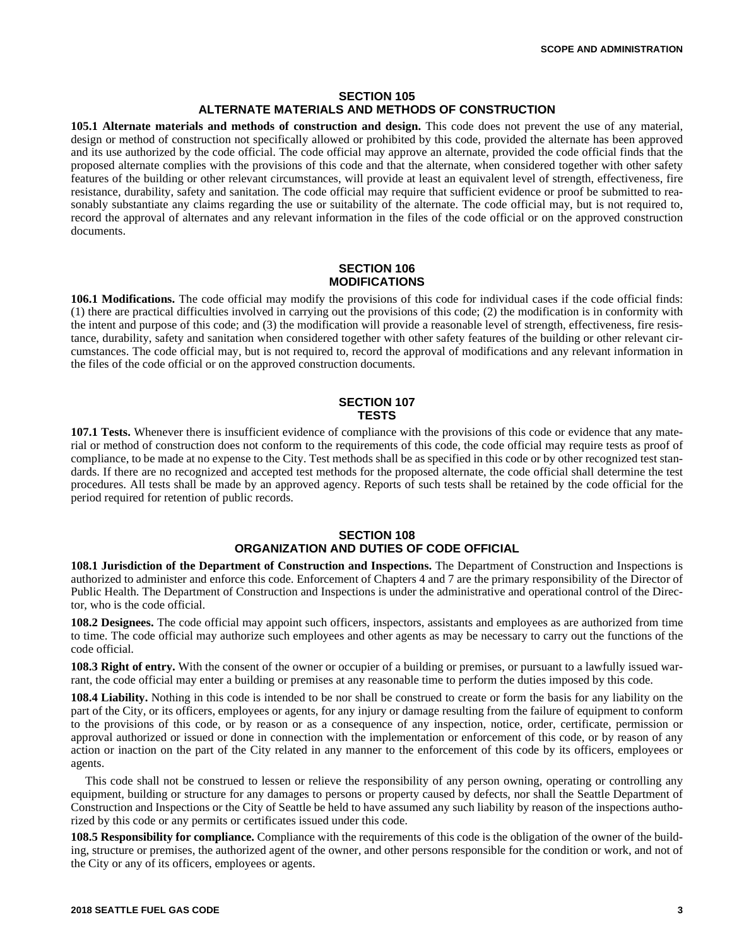## **SECTION 105 ALTERNATE MATERIALS AND METHODS OF CONSTRUCTION**

**105.1 Alternate materials and methods of construction and design.** This code does not prevent the use of any material, design or method of construction not specifically allowed or prohibited by this code, provided the alternate has been approved and its use authorized by the code official. The code official may approve an alternate, provided the code official finds that the proposed alternate complies with the provisions of this code and that the alternate, when considered together with other safety features of the building or other relevant circumstances, will provide at least an equivalent level of strength, effectiveness, fire resistance, durability, safety and sanitation. The code official may require that sufficient evidence or proof be submitted to reasonably substantiate any claims regarding the use or suitability of the alternate. The code official may, but is not required to, record the approval of alternates and any relevant information in the files of the code official or on the approved construction documents.

## **SECTION 106 MODIFICATIONS**

**106.1 Modifications.** The code official may modify the provisions of this code for individual cases if the code official finds: (1) there are practical difficulties involved in carrying out the provisions of this code; (2) the modification is in conformity with the intent and purpose of this code; and (3) the modification will provide a reasonable level of strength, effectiveness, fire resistance, durability, safety and sanitation when considered together with other safety features of the building or other relevant circumstances. The code official may, but is not required to, record the approval of modifications and any relevant information in the files of the code official or on the approved construction documents.

## **SECTION 107 TESTS**

**107.1 Tests.** Whenever there is insufficient evidence of compliance with the provisions of this code or evidence that any material or method of construction does not conform to the requirements of this code, the code official may require tests as proof of compliance, to be made at no expense to the City. Test methods shall be as specified in this code or by other recognized test standards. If there are no recognized and accepted test methods for the proposed alternate, the code official shall determine the test procedures. All tests shall be made by an approved agency. Reports of such tests shall be retained by the code official for the period required for retention of public records.

# **SECTION 108 ORGANIZATION AND DUTIES OF CODE OFFICIAL**

**108.1 Jurisdiction of the Department of Construction and Inspections.** The Department of Construction and Inspections is authorized to administer and enforce this code. Enforcement of Chapters 4 and 7 are the primary responsibility of the Director of Public Health. The Department of Construction and Inspections is under the administrative and operational control of the Director, who is the code official.

**108.2 Designees.** The code official may appoint such officers, inspectors, assistants and employees as are authorized from time to time. The code official may authorize such employees and other agents as may be necessary to carry out the functions of the code official.

**108.3 Right of entry.** With the consent of the owner or occupier of a building or premises, or pursuant to a lawfully issued warrant, the code official may enter a building or premises at any reasonable time to perform the duties imposed by this code.

**108.4 Liability.** Nothing in this code is intended to be nor shall be construed to create or form the basis for any liability on the part of the City, or its officers, employees or agents, for any injury or damage resulting from the failure of equipment to conform to the provisions of this code, or by reason or as a consequence of any inspection, notice, order, certificate, permission or approval authorized or issued or done in connection with the implementation or enforcement of this code, or by reason of any action or inaction on the part of the City related in any manner to the enforcement of this code by its officers, employees or agents.

This code shall not be construed to lessen or relieve the responsibility of any person owning, operating or controlling any equipment, building or structure for any damages to persons or property caused by defects, nor shall the Seattle Department of Construction and Inspections or the City of Seattle be held to have assumed any such liability by reason of the inspections authorized by this code or any permits or certificates issued under this code.

**108.5 Responsibility for compliance.** Compliance with the requirements of this code is the obligation of the owner of the building, structure or premises, the authorized agent of the owner, and other persons responsible for the condition or work, and not of the City or any of its officers, employees or agents.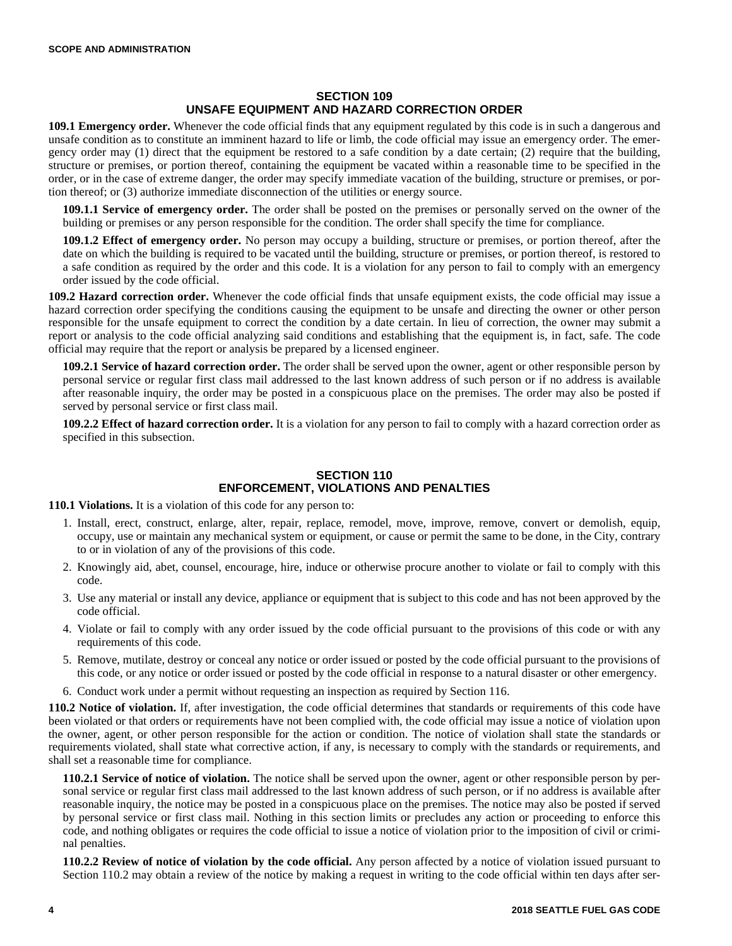# **SECTION 109 UNSAFE EQUIPMENT AND HAZARD CORRECTION ORDER**

**109.1 Emergency order.** Whenever the code official finds that any equipment regulated by this code is in such a dangerous and unsafe condition as to constitute an imminent hazard to life or limb, the code official may issue an emergency order. The emergency order may (1) direct that the equipment be restored to a safe condition by a date certain; (2) require that the building, structure or premises, or portion thereof, containing the equipment be vacated within a reasonable time to be specified in the order, or in the case of extreme danger, the order may specify immediate vacation of the building, structure or premises, or portion thereof; or (3) authorize immediate disconnection of the utilities or energy source.

**109.1.1 Service of emergency order.** The order shall be posted on the premises or personally served on the owner of the building or premises or any person responsible for the condition. The order shall specify the time for compliance.

**109.1.2 Effect of emergency order.** No person may occupy a building, structure or premises, or portion thereof, after the date on which the building is required to be vacated until the building, structure or premises, or portion thereof, is restored to a safe condition as required by the order and this code. It is a violation for any person to fail to comply with an emergency order issued by the code official.

**109.2 Hazard correction order.** Whenever the code official finds that unsafe equipment exists, the code official may issue a hazard correction order specifying the conditions causing the equipment to be unsafe and directing the owner or other person responsible for the unsafe equipment to correct the condition by a date certain. In lieu of correction, the owner may submit a report or analysis to the code official analyzing said conditions and establishing that the equipment is, in fact, safe. The code official may require that the report or analysis be prepared by a licensed engineer.

**109.2.1 Service of hazard correction order.** The order shall be served upon the owner, agent or other responsible person by personal service or regular first class mail addressed to the last known address of such person or if no address is available after reasonable inquiry, the order may be posted in a conspicuous place on the premises. The order may also be posted if served by personal service or first class mail.

**109.2.2 Effect of hazard correction order.** It is a violation for any person to fail to comply with a hazard correction order as specified in this subsection.

# **SECTION 110 ENFORCEMENT, VIOLATIONS AND PENALTIES**

**110.1 Violations.** It is a violation of this code for any person to:

- 1. Install, erect, construct, enlarge, alter, repair, replace, remodel, move, improve, remove, convert or demolish, equip, occupy, use or maintain any mechanical system or equipment, or cause or permit the same to be done, in the City, contrary to or in violation of any of the provisions of this code.
- 2. Knowingly aid, abet, counsel, encourage, hire, induce or otherwise procure another to violate or fail to comply with this code.
- 3. Use any material or install any device, appliance or equipment that is subject to this code and has not been approved by the code official.
- 4. Violate or fail to comply with any order issued by the code official pursuant to the provisions of this code or with any requirements of this code.
- 5. Remove, mutilate, destroy or conceal any notice or order issued or posted by the code official pursuant to the provisions of this code, or any notice or order issued or posted by the code official in response to a natural disaster or other emergency.
- 6. Conduct work under a permit without requesting an inspection as required by Section 116.

**110.2 Notice of violation.** If, after investigation, the code official determines that standards or requirements of this code have been violated or that orders or requirements have not been complied with, the code official may issue a notice of violation upon the owner, agent, or other person responsible for the action or condition. The notice of violation shall state the standards or requirements violated, shall state what corrective action, if any, is necessary to comply with the standards or requirements, and shall set a reasonable time for compliance.

**110.2.1 Service of notice of violation.** The notice shall be served upon the owner, agent or other responsible person by personal service or regular first class mail addressed to the last known address of such person, or if no address is available after reasonable inquiry, the notice may be posted in a conspicuous place on the premises. The notice may also be posted if served by personal service or first class mail. Nothing in this section limits or precludes any action or proceeding to enforce this code, and nothing obligates or requires the code official to issue a notice of violation prior to the imposition of civil or criminal penalties.

**110.2.2 Review of notice of violation by the code official.** Any person affected by a notice of violation issued pursuant to Section 110.2 may obtain a review of the notice by making a request in writing to the code official within ten days after ser-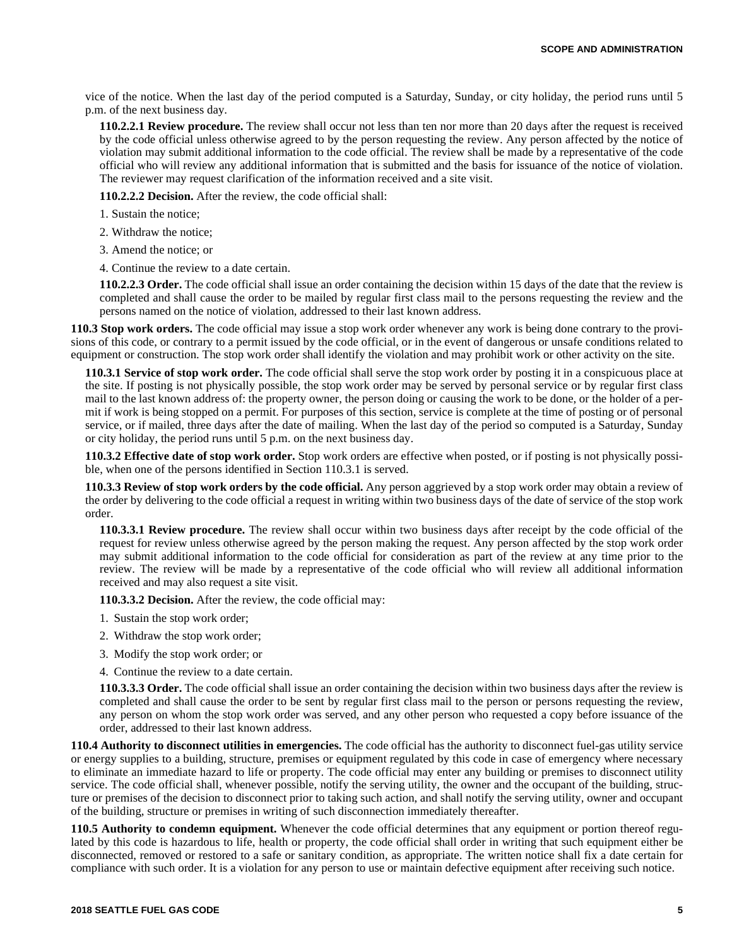vice of the notice. When the last day of the period computed is a Saturday, Sunday, or city holiday, the period runs until 5 p.m. of the next business day.

**110.2.2.1 Review procedure.** The review shall occur not less than ten nor more than 20 days after the request is received by the code official unless otherwise agreed to by the person requesting the review. Any person affected by the notice of violation may submit additional information to the code official. The review shall be made by a representative of the code official who will review any additional information that is submitted and the basis for issuance of the notice of violation. The reviewer may request clarification of the information received and a site visit.

**110.2.2.2 Decision.** After the review, the code official shall:

- 1. Sustain the notice;
- 2. Withdraw the notice;
- 3. Amend the notice; or
- 4. Continue the review to a date certain.

**110.2.2.3 Order.** The code official shall issue an order containing the decision within 15 days of the date that the review is completed and shall cause the order to be mailed by regular first class mail to the persons requesting the review and the persons named on the notice of violation, addressed to their last known address.

**110.3 Stop work orders.** The code official may issue a stop work order whenever any work is being done contrary to the provisions of this code, or contrary to a permit issued by the code official, or in the event of dangerous or unsafe conditions related to equipment or construction. The stop work order shall identify the violation and may prohibit work or other activity on the site.

**110.3.1 Service of stop work order.** The code official shall serve the stop work order by posting it in a conspicuous place at the site. If posting is not physically possible, the stop work order may be served by personal service or by regular first class mail to the last known address of: the property owner, the person doing or causing the work to be done, or the holder of a permit if work is being stopped on a permit. For purposes of this section, service is complete at the time of posting or of personal service, or if mailed, three days after the date of mailing. When the last day of the period so computed is a Saturday, Sunday or city holiday, the period runs until 5 p.m. on the next business day.

**110.3.2 Effective date of stop work order.** Stop work orders are effective when posted, or if posting is not physically possible, when one of the persons identified in Section 110.3.1 is served.

**110.3.3 Review of stop work orders by the code official.** Any person aggrieved by a stop work order may obtain a review of the order by delivering to the code official a request in writing within two business days of the date of service of the stop work order.

**110.3.3.1 Review procedure.** The review shall occur within two business days after receipt by the code official of the request for review unless otherwise agreed by the person making the request. Any person affected by the stop work order may submit additional information to the code official for consideration as part of the review at any time prior to the review. The review will be made by a representative of the code official who will review all additional information received and may also request a site visit.

**110.3.3.2 Decision.** After the review, the code official may:

- 1. Sustain the stop work order;
- 2. Withdraw the stop work order;
- 3. Modify the stop work order; or
- 4. Continue the review to a date certain.

**110.3.3.3 Order.** The code official shall issue an order containing the decision within two business days after the review is completed and shall cause the order to be sent by regular first class mail to the person or persons requesting the review, any person on whom the stop work order was served, and any other person who requested a copy before issuance of the order, addressed to their last known address.

**110.4 Authority to disconnect utilities in emergencies.** The code official has the authority to disconnect fuel-gas utility service or energy supplies to a building, structure, premises or equipment regulated by this code in case of emergency where necessary to eliminate an immediate hazard to life or property. The code official may enter any building or premises to disconnect utility service. The code official shall, whenever possible, notify the serving utility, the owner and the occupant of the building, structure or premises of the decision to disconnect prior to taking such action, and shall notify the serving utility, owner and occupant of the building, structure or premises in writing of such disconnection immediately thereafter.

**110.5 Authority to condemn equipment.** Whenever the code official determines that any equipment or portion thereof regulated by this code is hazardous to life, health or property, the code official shall order in writing that such equipment either be disconnected, removed or restored to a safe or sanitary condition, as appropriate. The written notice shall fix a date certain for compliance with such order. It is a violation for any person to use or maintain defective equipment after receiving such notice.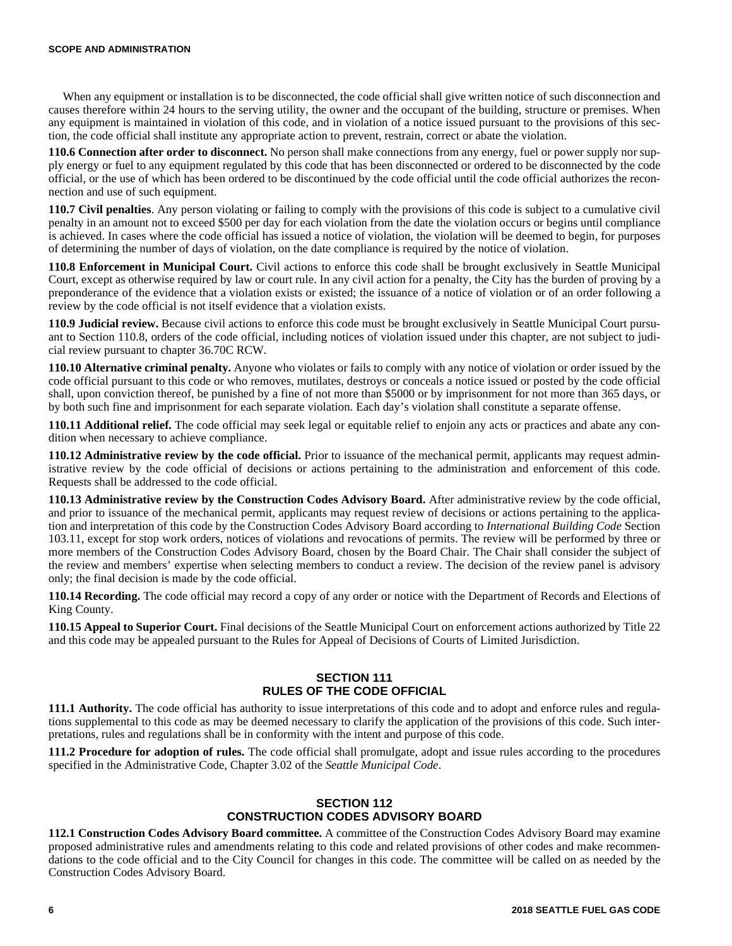#### **SCOPE AND ADMINISTRATION**

When any equipment or installation is to be disconnected, the code official shall give written notice of such disconnection and causes therefore within 24 hours to the serving utility, the owner and the occupant of the building, structure or premises. When any equipment is maintained in violation of this code, and in violation of a notice issued pursuant to the provisions of this section, the code official shall institute any appropriate action to prevent, restrain, correct or abate the violation.

**110.6 Connection after order to disconnect.** No person shall make connections from any energy, fuel or power supply nor supply energy or fuel to any equipment regulated by this code that has been disconnected or ordered to be disconnected by the code official, or the use of which has been ordered to be discontinued by the code official until the code official authorizes the reconnection and use of such equipment.

**110.7 Civil penalties**. Any person violating or failing to comply with the provisions of this code is subject to a cumulative civil penalty in an amount not to exceed \$500 per day for each violation from the date the violation occurs or begins until compliance is achieved. In cases where the code official has issued a notice of violation, the violation will be deemed to begin, for purposes of determining the number of days of violation, on the date compliance is required by the notice of violation.

**110.8 Enforcement in Municipal Court.** Civil actions to enforce this code shall be brought exclusively in Seattle Municipal Court, except as otherwise required by law or court rule. In any civil action for a penalty, the City has the burden of proving by a preponderance of the evidence that a violation exists or existed; the issuance of a notice of violation or of an order following a review by the code official is not itself evidence that a violation exists.

**110.9 Judicial review.** Because civil actions to enforce this code must be brought exclusively in Seattle Municipal Court pursuant to Section 110.8, orders of the code official, including notices of violation issued under this chapter, are not subject to judicial review pursuant to chapter 36.70C RCW.

**110.10 Alternative criminal penalty.** Anyone who violates or fails to comply with any notice of violation or order issued by the code official pursuant to this code or who removes, mutilates, destroys or conceals a notice issued or posted by the code official shall, upon conviction thereof, be punished by a fine of not more than \$5000 or by imprisonment for not more than 365 days, or by both such fine and imprisonment for each separate violation. Each day's violation shall constitute a separate offense.

**110.11 Additional relief.** The code official may seek legal or equitable relief to enjoin any acts or practices and abate any condition when necessary to achieve compliance.

**110.12 Administrative review by the code official.** Prior to issuance of the mechanical permit, applicants may request administrative review by the code official of decisions or actions pertaining to the administration and enforcement of this code. Requests shall be addressed to the code official.

**110.13 Administrative review by the Construction Codes Advisory Board.** After administrative review by the code official, and prior to issuance of the mechanical permit, applicants may request review of decisions or actions pertaining to the application and interpretation of this code by the Construction Codes Advisory Board according to *International Building Code* Section 103.11, except for stop work orders, notices of violations and revocations of permits. The review will be performed by three or more members of the Construction Codes Advisory Board, chosen by the Board Chair. The Chair shall consider the subject of the review and members' expertise when selecting members to conduct a review. The decision of the review panel is advisory only; the final decision is made by the code official.

**110.14 Recording.** The code official may record a copy of any order or notice with the Department of Records and Elections of King County.

**110.15 Appeal to Superior Court.** Final decisions of the Seattle Municipal Court on enforcement actions authorized by Title 22 and this code may be appealed pursuant to the Rules for Appeal of Decisions of Courts of Limited Jurisdiction.

## **SECTION 111 RULES OF THE CODE OFFICIAL**

**111.1 Authority.** The code official has authority to issue interpretations of this code and to adopt and enforce rules and regulations supplemental to this code as may be deemed necessary to clarify the application of the provisions of this code. Such interpretations, rules and regulations shall be in conformity with the intent and purpose of this code.

**111.2 Procedure for adoption of rules.** The code official shall promulgate, adopt and issue rules according to the procedures specified in the Administrative Code, Chapter 3.02 of the *Seattle Municipal Code*.

## **SECTION 112 CONSTRUCTION CODES ADVISORY BOARD**

**112.1 Construction Codes Advisory Board committee.** A committee of the Construction Codes Advisory Board may examine proposed administrative rules and amendments relating to this code and related provisions of other codes and make recommendations to the code official and to the City Council for changes in this code. The committee will be called on as needed by the Construction Codes Advisory Board.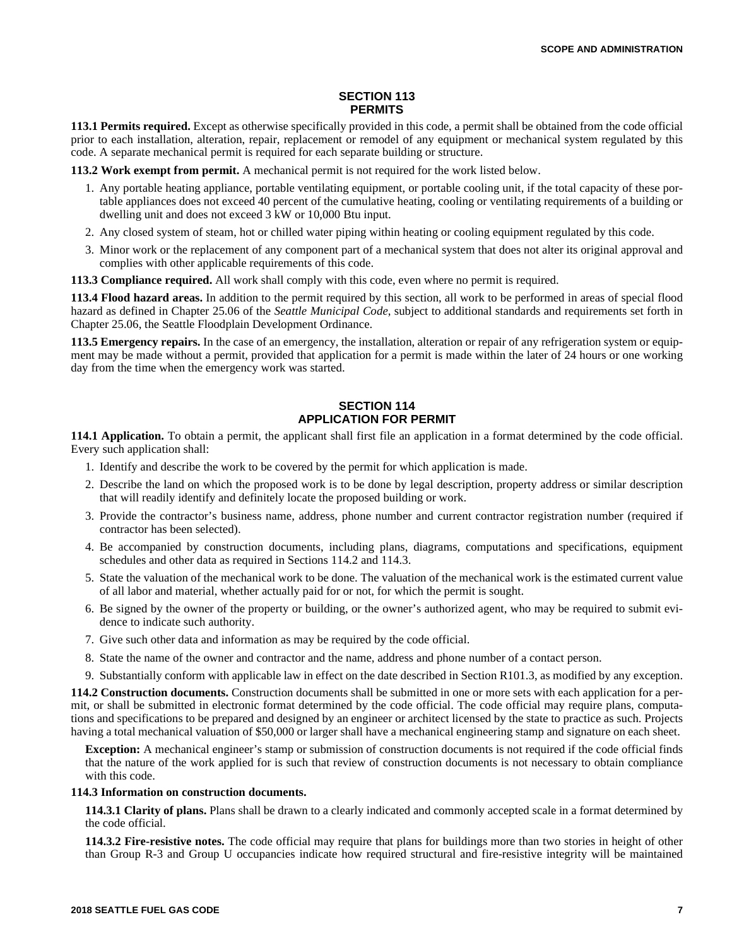## **SECTION 113 PERMITS**

**113.1 Permits required.** Except as otherwise specifically provided in this code, a permit shall be obtained from the code official prior to each installation, alteration, repair, replacement or remodel of any equipment or mechanical system regulated by this code. A separate mechanical permit is required for each separate building or structure.

**113.2 Work exempt from permit.** A mechanical permit is not required for the work listed below.

- 1. Any portable heating appliance, portable ventilating equipment, or portable cooling unit, if the total capacity of these portable appliances does not exceed 40 percent of the cumulative heating, cooling or ventilating requirements of a building or dwelling unit and does not exceed 3 kW or 10,000 Btu input.
- 2. Any closed system of steam, hot or chilled water piping within heating or cooling equipment regulated by this code.
- 3. Minor work or the replacement of any component part of a mechanical system that does not alter its original approval and complies with other applicable requirements of this code.

**113.3 Compliance required.** All work shall comply with this code, even where no permit is required.

**113.4 Flood hazard areas.** In addition to the permit required by this section, all work to be performed in areas of special flood hazard as defined in Chapter 25.06 of the *Seattle Municipal Code*, subject to additional standards and requirements set forth in Chapter 25.06, the Seattle Floodplain Development Ordinance.

**113.5 Emergency repairs.** In the case of an emergency, the installation, alteration or repair of any refrigeration system or equipment may be made without a permit, provided that application for a permit is made within the later of 24 hours or one working day from the time when the emergency work was started.

# **SECTION 114 APPLICATION FOR PERMIT**

**114.1 Application.** To obtain a permit, the applicant shall first file an application in a format determined by the code official. Every such application shall:

- 1. Identify and describe the work to be covered by the permit for which application is made.
- 2. Describe the land on which the proposed work is to be done by legal description, property address or similar description that will readily identify and definitely locate the proposed building or work.
- 3. Provide the contractor's business name, address, phone number and current contractor registration number (required if contractor has been selected).
- 4. Be accompanied by construction documents, including plans, diagrams, computations and specifications, equipment schedules and other data as required in Sections 114.2 and 114.3.
- 5. State the valuation of the mechanical work to be done. The valuation of the mechanical work is the estimated current value of all labor and material, whether actually paid for or not, for which the permit is sought.
- 6. Be signed by the owner of the property or building, or the owner's authorized agent, who may be required to submit evidence to indicate such authority.
- 7. Give such other data and information as may be required by the code official.
- 8. State the name of the owner and contractor and the name, address and phone number of a contact person.
- 9. Substantially conform with applicable law in effect on the date described in Section R101.3, as modified by any exception.

**114.2 Construction documents.** Construction documents shall be submitted in one or more sets with each application for a permit, or shall be submitted in electronic format determined by the code official. The code official may require plans, computations and specifications to be prepared and designed by an engineer or architect licensed by the state to practice as such. Projects having a total mechanical valuation of \$50,000 or larger shall have a mechanical engineering stamp and signature on each sheet.

**Exception:** A mechanical engineer's stamp or submission of construction documents is not required if the code official finds that the nature of the work applied for is such that review of construction documents is not necessary to obtain compliance with this code.

### **114.3 Information on construction documents.**

**114.3.1 Clarity of plans.** Plans shall be drawn to a clearly indicated and commonly accepted scale in a format determined by the code official.

**114.3.2 Fire-resistive notes.** The code official may require that plans for buildings more than two stories in height of other than Group R-3 and Group U occupancies indicate how required structural and fire-resistive integrity will be maintained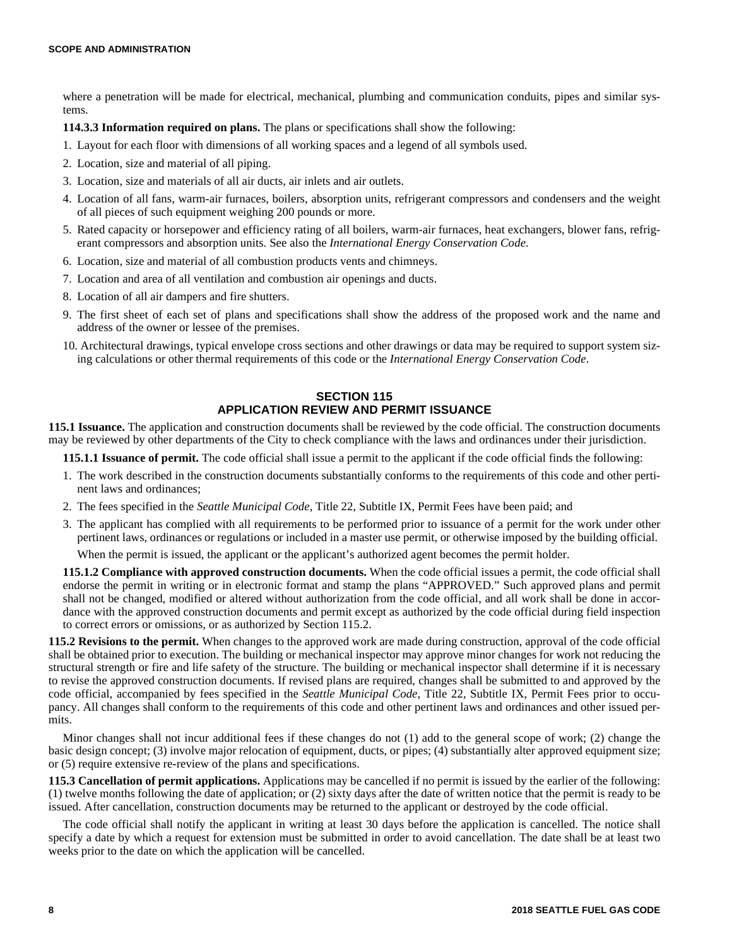where a penetration will be made for electrical, mechanical, plumbing and communication conduits, pipes and similar systems.

**114.3.3 Information required on plans.** The plans or specifications shall show the following:

- 1. Layout for each floor with dimensions of all working spaces and a legend of all symbols used.
- 2. Location, size and material of all piping.
- 3. Location, size and materials of all air ducts, air inlets and air outlets.
- 4. Location of all fans, warm-air furnaces, boilers, absorption units, refrigerant compressors and condensers and the weight of all pieces of such equipment weighing 200 pounds or more.
- 5. Rated capacity or horsepower and efficiency rating of all boilers, warm-air furnaces, heat exchangers, blower fans, refrigerant compressors and absorption units. See also the *International Energy Conservation Code*.
- 6. Location, size and material of all combustion products vents and chimneys.
- 7. Location and area of all ventilation and combustion air openings and ducts.
- 8. Location of all air dampers and fire shutters.
- 9. The first sheet of each set of plans and specifications shall show the address of the proposed work and the name and address of the owner or lessee of the premises.
- 10. Architectural drawings, typical envelope cross sections and other drawings or data may be required to support system sizing calculations or other thermal requirements of this code or the *International Energy Conservation Code*.

## **SECTION 115 APPLICATION REVIEW AND PERMIT ISSUANCE**

**115.1 Issuance.** The application and construction documents shall be reviewed by the code official. The construction documents may be reviewed by other departments of the City to check compliance with the laws and ordinances under their jurisdiction.

**115.1.1 Issuance of permit.** The code official shall issue a permit to the applicant if the code official finds the following:

- 1. The work described in the construction documents substantially conforms to the requirements of this code and other pertinent laws and ordinances;
- 2. The fees specified in the *Seattle Municipal Code*, Title 22, Subtitle IX, Permit Fees have been paid; and
- 3. The applicant has complied with all requirements to be performed prior to issuance of a permit for the work under other pertinent laws, ordinances or regulations or included in a master use permit, or otherwise imposed by the building official. When the permit is issued, the applicant or the applicant's authorized agent becomes the permit holder.

**115.1.2 Compliance with approved construction documents.** When the code official issues a permit, the code official shall endorse the permit in writing or in electronic format and stamp the plans "APPROVED." Such approved plans and permit shall not be changed, modified or altered without authorization from the code official, and all work shall be done in accordance with the approved construction documents and permit except as authorized by the code official during field inspection to correct errors or omissions, or as authorized by Section 115.2.

**115.2 Revisions to the permit.** When changes to the approved work are made during construction, approval of the code official shall be obtained prior to execution. The building or mechanical inspector may approve minor changes for work not reducing the structural strength or fire and life safety of the structure. The building or mechanical inspector shall determine if it is necessary to revise the approved construction documents. If revised plans are required, changes shall be submitted to and approved by the code official, accompanied by fees specified in the *Seattle Municipal Code*, Title 22, Subtitle IX, Permit Fees prior to occupancy. All changes shall conform to the requirements of this code and other pertinent laws and ordinances and other issued permits.

Minor changes shall not incur additional fees if these changes do not (1) add to the general scope of work; (2) change the basic design concept; (3) involve major relocation of equipment, ducts, or pipes; (4) substantially alter approved equipment size; or (5) require extensive re-review of the plans and specifications.

**115.3 Cancellation of permit applications.** Applications may be cancelled if no permit is issued by the earlier of the following: (1) twelve months following the date of application; or (2) sixty days after the date of written notice that the permit is ready to be issued. After cancellation, construction documents may be returned to the applicant or destroyed by the code official.

The code official shall notify the applicant in writing at least 30 days before the application is cancelled. The notice shall specify a date by which a request for extension must be submitted in order to avoid cancellation. The date shall be at least two weeks prior to the date on which the application will be cancelled.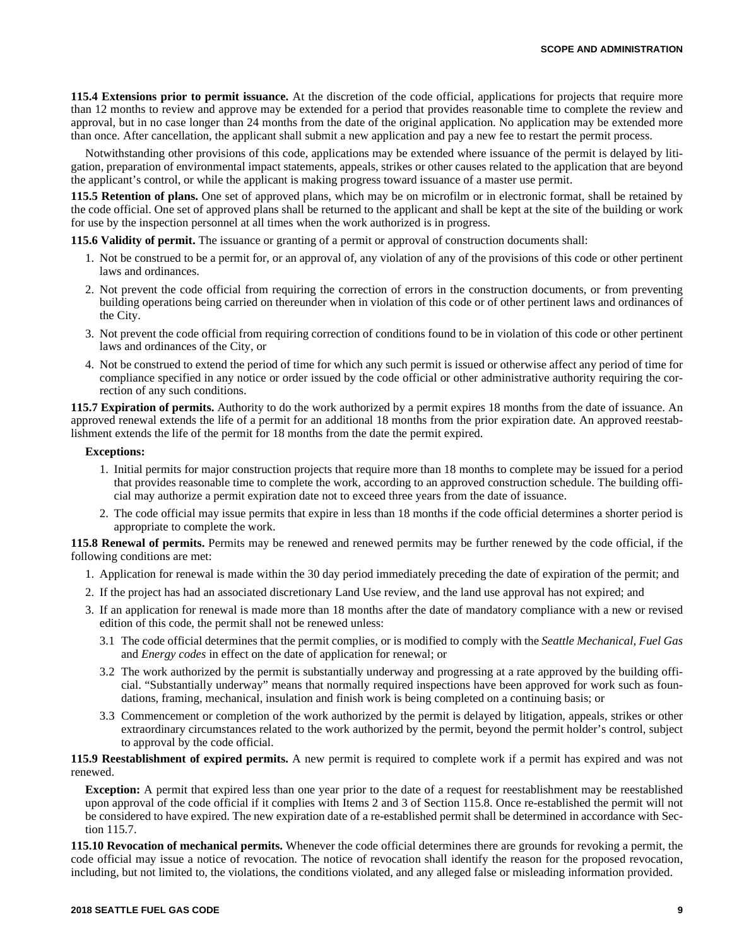**115.4 Extensions prior to permit issuance.** At the discretion of the code official, applications for projects that require more than 12 months to review and approve may be extended for a period that provides reasonable time to complete the review and approval, but in no case longer than 24 months from the date of the original application. No application may be extended more than once. After cancellation, the applicant shall submit a new application and pay a new fee to restart the permit process.

Notwithstanding other provisions of this code, applications may be extended where issuance of the permit is delayed by litigation, preparation of environmental impact statements, appeals, strikes or other causes related to the application that are beyond the applicant's control, or while the applicant is making progress toward issuance of a master use permit.

**115.5 Retention of plans.** One set of approved plans, which may be on microfilm or in electronic format, shall be retained by the code official. One set of approved plans shall be returned to the applicant and shall be kept at the site of the building or work for use by the inspection personnel at all times when the work authorized is in progress.

**115.6 Validity of permit.** The issuance or granting of a permit or approval of construction documents shall:

- 1. Not be construed to be a permit for, or an approval of, any violation of any of the provisions of this code or other pertinent laws and ordinances.
- 2. Not prevent the code official from requiring the correction of errors in the construction documents, or from preventing building operations being carried on thereunder when in violation of this code or of other pertinent laws and ordinances of the City.
- 3. Not prevent the code official from requiring correction of conditions found to be in violation of this code or other pertinent laws and ordinances of the City, or
- 4. Not be construed to extend the period of time for which any such permit is issued or otherwise affect any period of time for compliance specified in any notice or order issued by the code official or other administrative authority requiring the correction of any such conditions.

**115.7 Expiration of permits.** Authority to do the work authorized by a permit expires 18 months from the date of issuance. An approved renewal extends the life of a permit for an additional 18 months from the prior expiration date. An approved reestablishment extends the life of the permit for 18 months from the date the permit expired.

## **Exceptions:**

- 1. Initial permits for major construction projects that require more than 18 months to complete may be issued for a period that provides reasonable time to complete the work, according to an approved construction schedule. The building official may authorize a permit expiration date not to exceed three years from the date of issuance.
- 2. The code official may issue permits that expire in less than 18 months if the code official determines a shorter period is appropriate to complete the work.

**115.8 Renewal of permits.** Permits may be renewed and renewed permits may be further renewed by the code official, if the following conditions are met:

- 1. Application for renewal is made within the 30 day period immediately preceding the date of expiration of the permit; and
- 2. If the project has had an associated discretionary Land Use review, and the land use approval has not expired; and
- 3. If an application for renewal is made more than 18 months after the date of mandatory compliance with a new or revised edition of this code, the permit shall not be renewed unless:
	- 3.1 The code official determines that the permit complies, or is modified to comply with the *Seattle Mechanical, Fuel Gas* and *Energy codes* in effect on the date of application for renewal; or
	- 3.2 The work authorized by the permit is substantially underway and progressing at a rate approved by the building official. "Substantially underway" means that normally required inspections have been approved for work such as foundations, framing, mechanical, insulation and finish work is being completed on a continuing basis; or
	- 3.3 Commencement or completion of the work authorized by the permit is delayed by litigation, appeals, strikes or other extraordinary circumstances related to the work authorized by the permit, beyond the permit holder's control, subject to approval by the code official.

**115.9 Reestablishment of expired permits.** A new permit is required to complete work if a permit has expired and was not renewed.

**Exception:** A permit that expired less than one year prior to the date of a request for reestablishment may be reestablished upon approval of the code official if it complies with Items 2 and 3 of Section 115.8. Once re-established the permit will not be considered to have expired. The new expiration date of a re-established permit shall be determined in accordance with Section 115.7.

**115.10 Revocation of mechanical permits.** Whenever the code official determines there are grounds for revoking a permit, the code official may issue a notice of revocation. The notice of revocation shall identify the reason for the proposed revocation, including, but not limited to, the violations, the conditions violated, and any alleged false or misleading information provided.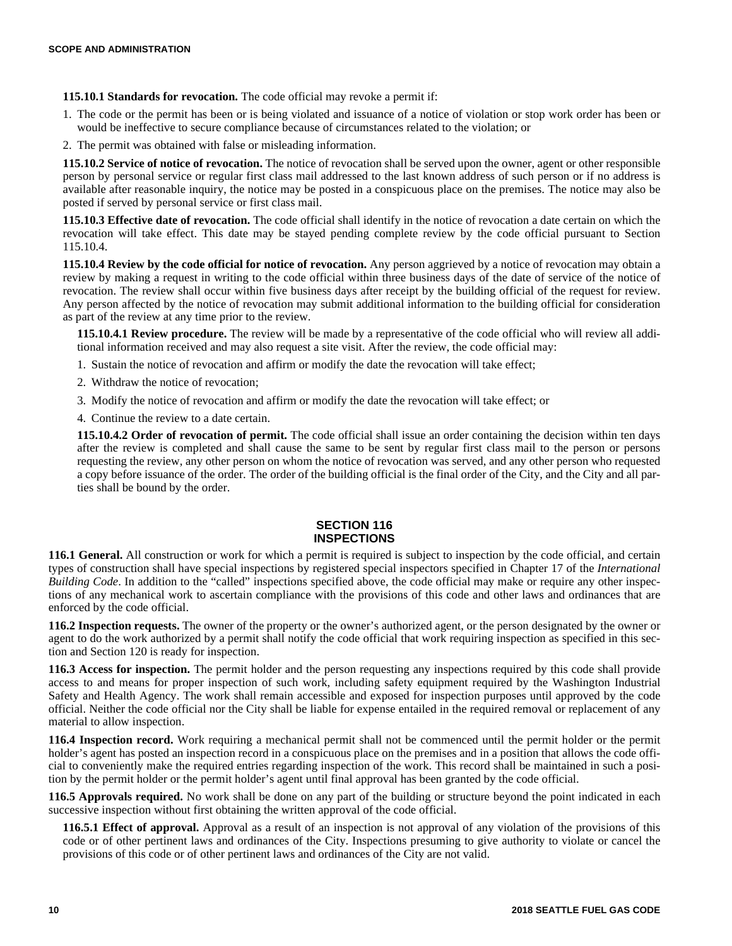**115.10.1 Standards for revocation.** The code official may revoke a permit if:

- 1. The code or the permit has been or is being violated and issuance of a notice of violation or stop work order has been or would be ineffective to secure compliance because of circumstances related to the violation; or
- 2. The permit was obtained with false or misleading information.

**115.10.2 Service of notice of revocation.** The notice of revocation shall be served upon the owner, agent or other responsible person by personal service or regular first class mail addressed to the last known address of such person or if no address is available after reasonable inquiry, the notice may be posted in a conspicuous place on the premises. The notice may also be posted if served by personal service or first class mail.

**115.10.3 Effective date of revocation.** The code official shall identify in the notice of revocation a date certain on which the revocation will take effect. This date may be stayed pending complete review by the code official pursuant to Section 115.10.4.

**115.10.4 Review by the code official for notice of revocation.** Any person aggrieved by a notice of revocation may obtain a review by making a request in writing to the code official within three business days of the date of service of the notice of revocation. The review shall occur within five business days after receipt by the building official of the request for review. Any person affected by the notice of revocation may submit additional information to the building official for consideration as part of the review at any time prior to the review.

**115.10.4.1 Review procedure.** The review will be made by a representative of the code official who will review all additional information received and may also request a site visit. After the review, the code official may:

- 1. Sustain the notice of revocation and affirm or modify the date the revocation will take effect;
- 2. Withdraw the notice of revocation;
- 3. Modify the notice of revocation and affirm or modify the date the revocation will take effect; or

4. Continue the review to a date certain.

**115.10.4.2 Order of revocation of permit.** The code official shall issue an order containing the decision within ten days after the review is completed and shall cause the same to be sent by regular first class mail to the person or persons requesting the review, any other person on whom the notice of revocation was served, and any other person who requested a copy before issuance of the order. The order of the building official is the final order of the City, and the City and all parties shall be bound by the order.

# **SECTION 116 INSPECTIONS**

**116.1 General.** All construction or work for which a permit is required is subject to inspection by the code official, and certain types of construction shall have special inspections by registered special inspectors specified in Chapter 17 of the *International Building Code*. In addition to the "called" inspections specified above, the code official may make or require any other inspections of any mechanical work to ascertain compliance with the provisions of this code and other laws and ordinances that are enforced by the code official.

**116.2 Inspection requests.** The owner of the property or the owner's authorized agent, or the person designated by the owner or agent to do the work authorized by a permit shall notify the code official that work requiring inspection as specified in this section and Section 120 is ready for inspection.

**116.3 Access for inspection.** The permit holder and the person requesting any inspections required by this code shall provide access to and means for proper inspection of such work, including safety equipment required by the Washington Industrial Safety and Health Agency. The work shall remain accessible and exposed for inspection purposes until approved by the code official. Neither the code official nor the City shall be liable for expense entailed in the required removal or replacement of any material to allow inspection.

**116.4 Inspection record.** Work requiring a mechanical permit shall not be commenced until the permit holder or the permit holder's agent has posted an inspection record in a conspicuous place on the premises and in a position that allows the code official to conveniently make the required entries regarding inspection of the work. This record shall be maintained in such a position by the permit holder or the permit holder's agent until final approval has been granted by the code official.

**116.5 Approvals required.** No work shall be done on any part of the building or structure beyond the point indicated in each successive inspection without first obtaining the written approval of the code official.

**116.5.1 Effect of approval.** Approval as a result of an inspection is not approval of any violation of the provisions of this code or of other pertinent laws and ordinances of the City. Inspections presuming to give authority to violate or cancel the provisions of this code or of other pertinent laws and ordinances of the City are not valid.